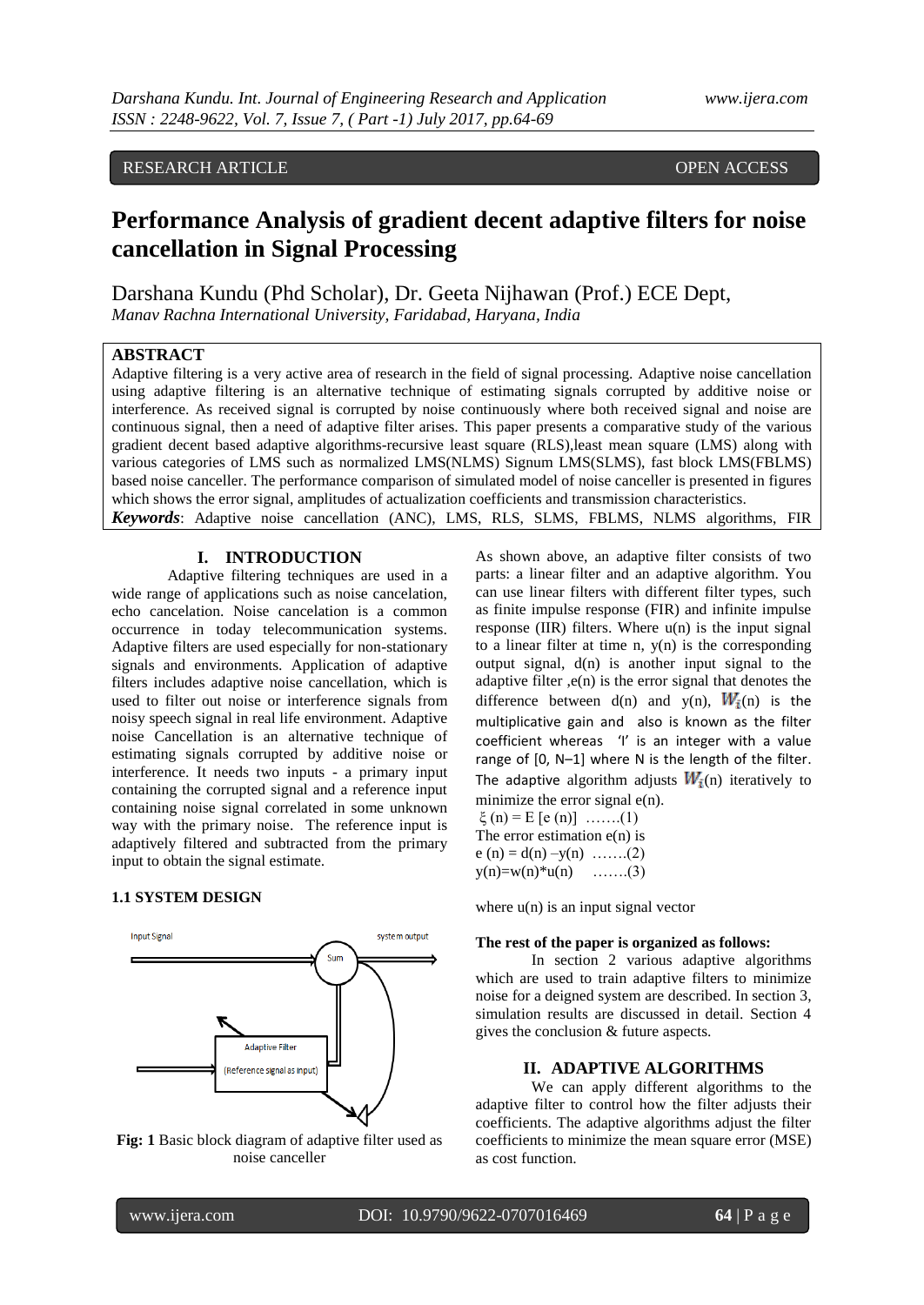## RESEARCH ARTICLE **CONTRACT ARTICLE** AND LOTE OPEN ACCESS

# **Performance Analysis of gradient decent adaptive filters for noise cancellation in Signal Processing**

Darshana Kundu (Phd Scholar), Dr. Geeta Nijhawan (Prof.) ECE Dept, *Manav Rachna International University, Faridabad, Haryana, India*

## **ABSTRACT**

Adaptive filtering is a very active area of research in the field of signal processing. Adaptive noise cancellation using adaptive filtering is an alternative technique of estimating signals corrupted by additive noise or interference. As received signal is corrupted by noise continuously where both received signal and noise are continuous signal, then a need of adaptive filter arises. This paper presents a comparative study of the various gradient decent based adaptive algorithms-recursive least square (RLS),least mean square (LMS) along with various categories of LMS such as normalized LMS(NLMS) Signum LMS(SLMS), fast block LMS(FBLMS) based noise canceller. The performance comparison of simulated model of noise canceller is presented in figures which shows the error signal, amplitudes of actualization coefficients and transmission characteristics. *Keywords*: Adaptive noise cancellation (ANC), LMS, RLS, SLMS, FBLMS, NLMS algorithms, FIR

## **I. INTRODUCTION**

Adaptive filtering techniques are used in a wide range of applications such as noise cancelation, echo cancelation. Noise cancelation is a common occurrence in today telecommunication systems. Adaptive filters are used especially for non-stationary signals and environments. Application of adaptive filters includes adaptive noise cancellation, which is used to filter out noise or interference signals from noisy speech signal in real life environment. Adaptive noise Cancellation is an alternative technique of estimating signals corrupted by additive noise or interference. It needs two inputs - a primary input containing the corrupted signal and a reference input containing noise signal correlated in some unknown way with the primary noise. The reference input is adaptively filtered and subtracted from the primary input to obtain the signal estimate.

## **1.1 SYSTEM DESIGN**



**Fig: 1** Basic block diagram of adaptive filter used as noise canceller

As shown above, an adaptive filter consists of two parts: a linear filter and an adaptive algorithm. You can use linear filters with different filter types, such as finite impulse response (FIR) and infinite impulse response  $(IIR)$  filters. Where  $u(n)$  is the input signal to a linear filter at time n,  $y(n)$  is the corresponding output signal,  $d(n)$  is another input signal to the adaptive filter  $,e(n)$  is the error signal that denotes the difference between  $d(n)$  and  $y(n)$ ,  $W_i(n)$  is the multiplicative gain and also is known as the filter coefficient whereas 'I' is an integer with a value range of [0, N–1] where N is the length of the filter. The adaptive algorithm adjusts  $W_i(n)$  iteratively to minimize the error signal  $e(n)$ .

 $\xi(n) = E$  [e (n)] …….(1) The error estimation  $e(n)$  is  $e(n) = d(n) - y(n)$  …….(2)  $y(n)=w(n)*u(n)$  …….(3)

where  $u(n)$  is an input signal vector

#### **The rest of the paper is organized as follows:**

In section 2 various adaptive algorithms which are used to train adaptive filters to minimize noise for a deigned system are described. In section 3, simulation results are discussed in detail. Section 4 gives the conclusion & future aspects.

## **II. ADAPTIVE ALGORITHMS**

We can apply different algorithms to the adaptive filter to control how the filter adjusts their coefficients. The adaptive algorithms adjust the filter coefficients to minimize the mean square error (MSE) as cost function.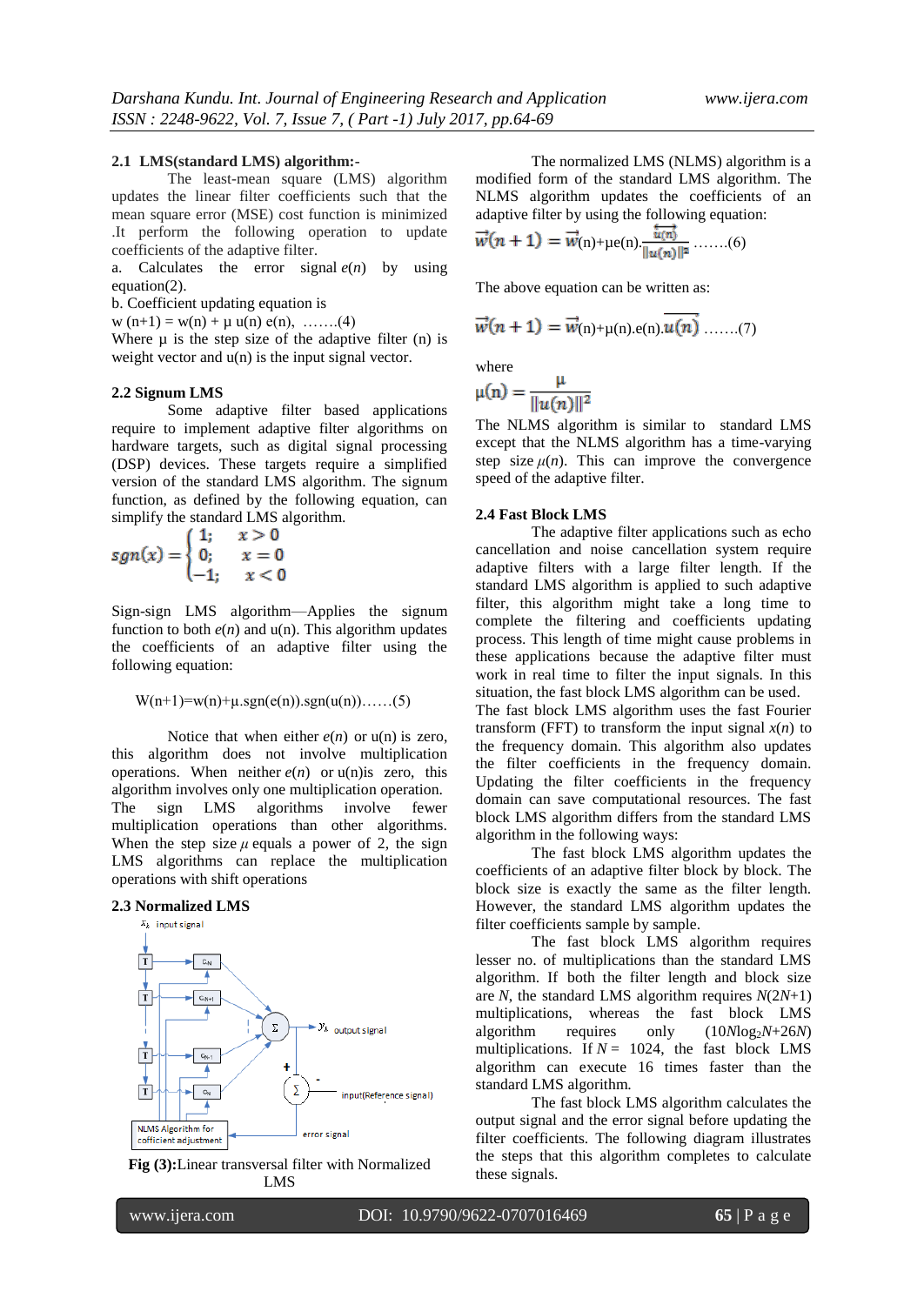## **2.1 LMS(standard LMS) algorithm:-**

The least-mean square (LMS) algorithm updates the linear filter coefficients such that the mean square error (MSE) cost function is minimized .It perform the following operation to update coefficients of the adaptive filter.

a. Calculates the error signal  $e(n)$  by using equation(2).

b. Coefficient updating equation is

 $w(n+1) = w(n) + \mu u(n) e(n), \dots (4)$ 

Where  $\mu$  is the step size of the adaptive filter (n) is weight vector and  $u(n)$  is the input signal vector.

#### **2.2 Signum LMS**

Some adaptive filter based applications require to implement adaptive filter algorithms on hardware targets, such as digital signal processing (DSP) devices. These targets require a simplified version of the standard LMS algorithm. The signum function, as defined by the following equation, can simplify the standard LMS algorithm.

$$
sgn(x) = \begin{cases} 1; & x > 0 \\ 0; & x = 0 \\ -1; & x < 0 \end{cases}
$$

Sign-sign LMS algorithm—Applies the signum function to both  $e(n)$  and  $u(n)$ . This algorithm updates the coefficients of an adaptive filter using the following equation:

$$
W(n+1)=w(n)+\mu \cdot sgn(e(n)).sgn(u(n)).\ldots.(5)
$$

Notice that when either  $e(n)$  or  $u(n)$  is zero, this algorithm does not involve multiplication operations. When neither  $e(n)$  or  $u(n)$  is zero, this algorithm involves only one multiplication operation. The sign LMS algorithms involve fewer multiplication operations than other algorithms. When the step size  $\mu$  equals a power of 2, the sign LMS algorithms can replace the multiplication operations with shift operations

### **2.3 Normalized LMS**



**Fig (3):**Linear transversal filter with Normalized LMS

The normalized LMS (NLMS) algorithm is a modified form of the standard LMS algorithm. The NLMS algorithm updates the coefficients of an adaptive filter by using the following equation:

$$
\vec{w}(n+1) = \vec{w}_{(n)+\mu e(n)} \cdot \frac{\dot{u}(n)}{\|u(n)\|^2} \cdot \dots \cdot (6)
$$

The above equation can be written as:

$$
\vec{w}(n+1) = \vec{w}_{(n)+\mu(n).e(n)} \cdot \overline{u(n)} \dots \dots (7)
$$

where

$$
\mu(n) = \frac{\mu}{\|u(n)\|^2}
$$

ä.

The NLMS algorithm is similar to standard LMS except that the NLMS algorithm has a time-varying step size  $\mu(n)$ . This can improve the convergence speed of the adaptive filter.

#### **2.4 Fast Block LMS**

The adaptive filter applications such as echo cancellation and noise cancellation system require adaptive filters with a large filter length. If the standard LMS algorithm is applied to such adaptive filter, this algorithm might take a long time to complete the filtering and coefficients updating process. This length of time might cause problems in these applications because the adaptive filter must work in real time to filter the input signals. In this situation, the fast block LMS algorithm can be used.

The fast block LMS algorithm uses the fast Fourier transform (FFT) to transform the input signal  $x(n)$  to the frequency domain. This algorithm also updates the filter coefficients in the frequency domain. Updating the filter coefficients in the frequency domain can save computational resources. The fast block LMS algorithm differs from the standard LMS algorithm in the following ways:

The fast block LMS algorithm updates the coefficients of an adaptive filter block by block. The block size is exactly the same as the filter length. However, the standard LMS algorithm updates the filter coefficients sample by sample.

The fast block LMS algorithm requires lesser no. of multiplications than the standard LMS algorithm. If both the filter length and block size are *N*, the standard LMS algorithm requires  $N(2N+1)$ multiplications, whereas the fast block LMS algorithm requires only  $(10M \log_2 N + 26N)$ multiplications. If  $N = 1024$ , the fast block LMS algorithm can execute 16 times faster than the standard LMS algorithm.

The fast block LMS algorithm calculates the output signal and the error signal before updating the filter coefficients. The following diagram illustrates the steps that this algorithm completes to calculate these signals.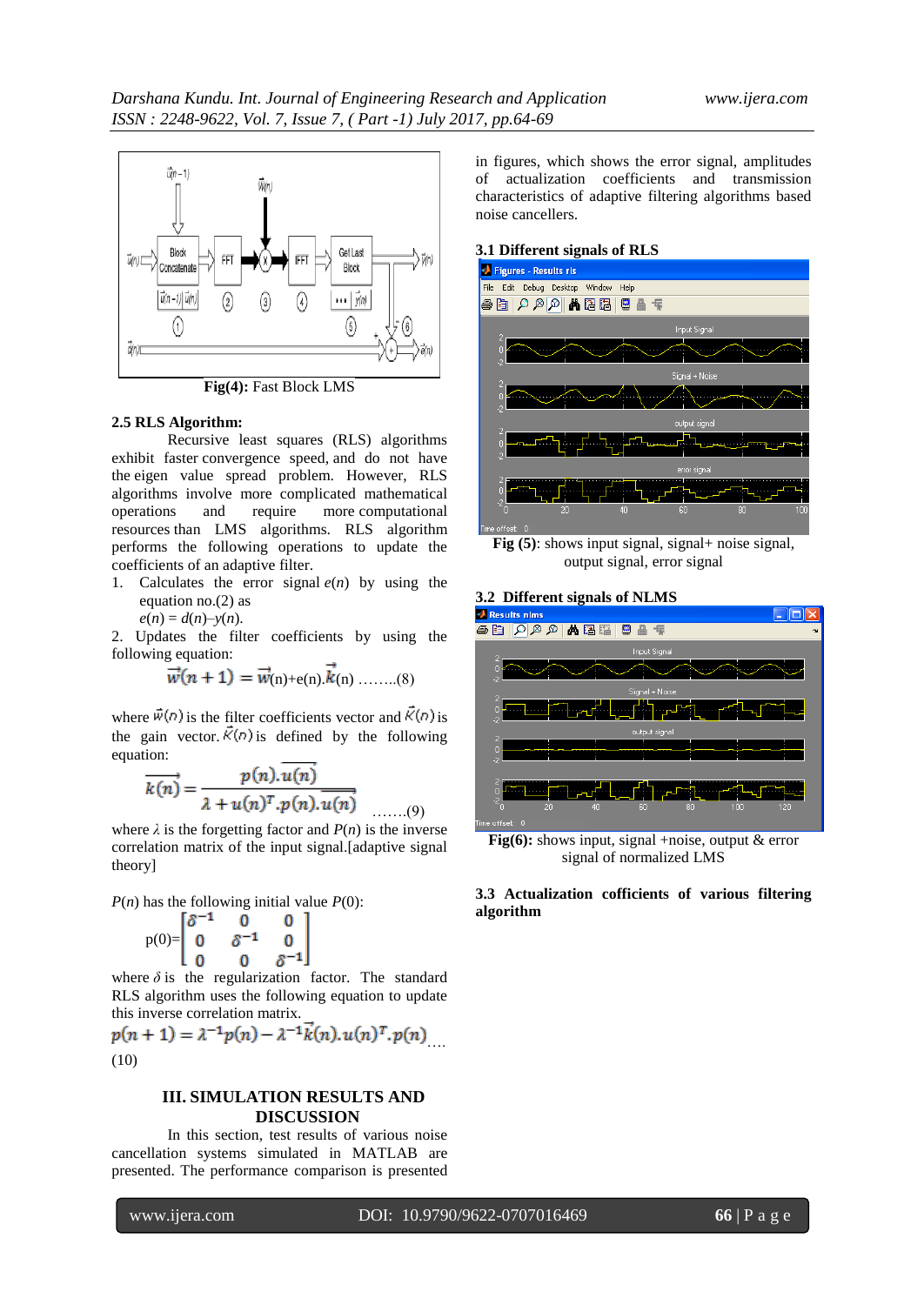

## **Fig(4):** Fast Block LMS

## **2.5 RLS Algorithm:**

Recursive least squares (RLS) algorithms exhibit faster [convergence speed,](http://zone.ni.com/reference/en-XX/help/372357A-01/lvaftconcepts/aft_monitor_behave/#convergence) and do not have the [eigen value spread](http://zone.ni.com/reference/en-XX/help/372357A-01/lvaftconcepts/aft_algorithms/#eigenvalue) problem. However, RLS algorithms involve more complicated mathematical operations and require more [computational](http://zone.ni.com/reference/en-XX/help/372357A-01/lvaftconcepts/aft_choose_algorithm/)  [resources](http://zone.ni.com/reference/en-XX/help/372357A-01/lvaftconcepts/aft_choose_algorithm/) than LMS algorithms. RLS algorithm performs the following operations to update the coefficients of an adaptive filter.

- 1. Calculates the error signal  $e(n)$  by using the equation no.(2) as
	- $e(n) = d(n) y(n)$ .

2. Updates the filter coefficients by using the following equation:

$$
\vec{w}(n+1) = \vec{w}_{(n)+e(n)} \cdot \vec{k}_{(n)} \dots \dots (8)
$$

where  $\vec{\psi}(n)$  is the filter coefficients vector and  $\vec{\mathcal{K}}(n)$  is the gain vector.  $\overline{K}(n)$  is defined by the following equation:

$$
\overrightarrow{k(n)} = \frac{p(n).u(n)}{\lambda + u(n)^{T}.p(n).u(n)}
$$
......(9)

where  $\lambda$  is the forgetting factor and  $P(n)$  is the inverse correlation matrix of the input signal.[adaptive signal theory]

 $P(n)$  has the following initial value  $P(0)$ :

$$
p(0) = \begin{bmatrix} \delta^{-1} & 0 & 0 \\ 0 & \delta^{-1} & 0 \\ 0 & 0 & \delta^{-1} \end{bmatrix}
$$

where  $\delta$  is the regularization factor. The standard RLS algorithm uses the following equation to update this inverse correlation matrix.

 $p(n + 1) = \lambda^{-1} p(n) - \lambda^{-1} \vec{k}(n) \cdot u(n)^T \cdot p(n)$ (10)

## **III. SIMULATION RESULTS AND DISCUSSION**

In this section, test results of various noise cancellation systems simulated in MATLAB are presented. The performance comparison is presented

in figures, which shows the error signal, amplitudes of actualization coefficients and transmission characteristics of adaptive filtering algorithms based noise cancellers.









**Fig(6):** shows input, signal +noise, output & error signal of normalized LMS

## **3.3 Actualization cofficients of various filtering algorithm**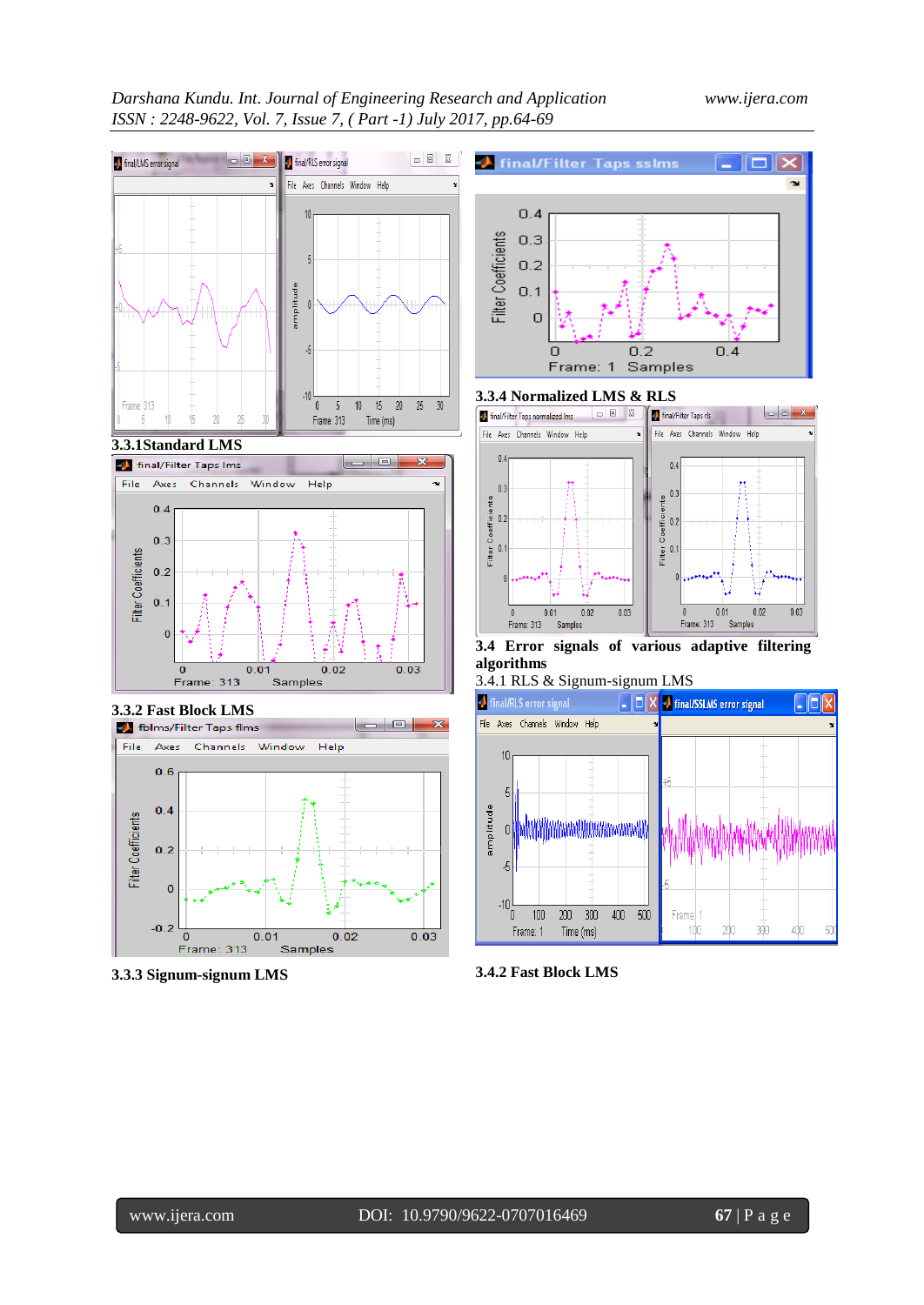## *Darshana Kundu. Int. Journal of Engineering Research and Application www.ijera.com ISSN : 2248-9622, Vol. 7, Issue 7, ( Part -1) July 2017, pp.64-69*







**3.3.2 Fast Block LMS** 



**3.3.3 Signum-signum LMS**





**3.4 Error signals of various adaptive filtering algorithms**

3.4.1 RLS & Signum-signum LMS



**3.4.2 Fast Block LMS**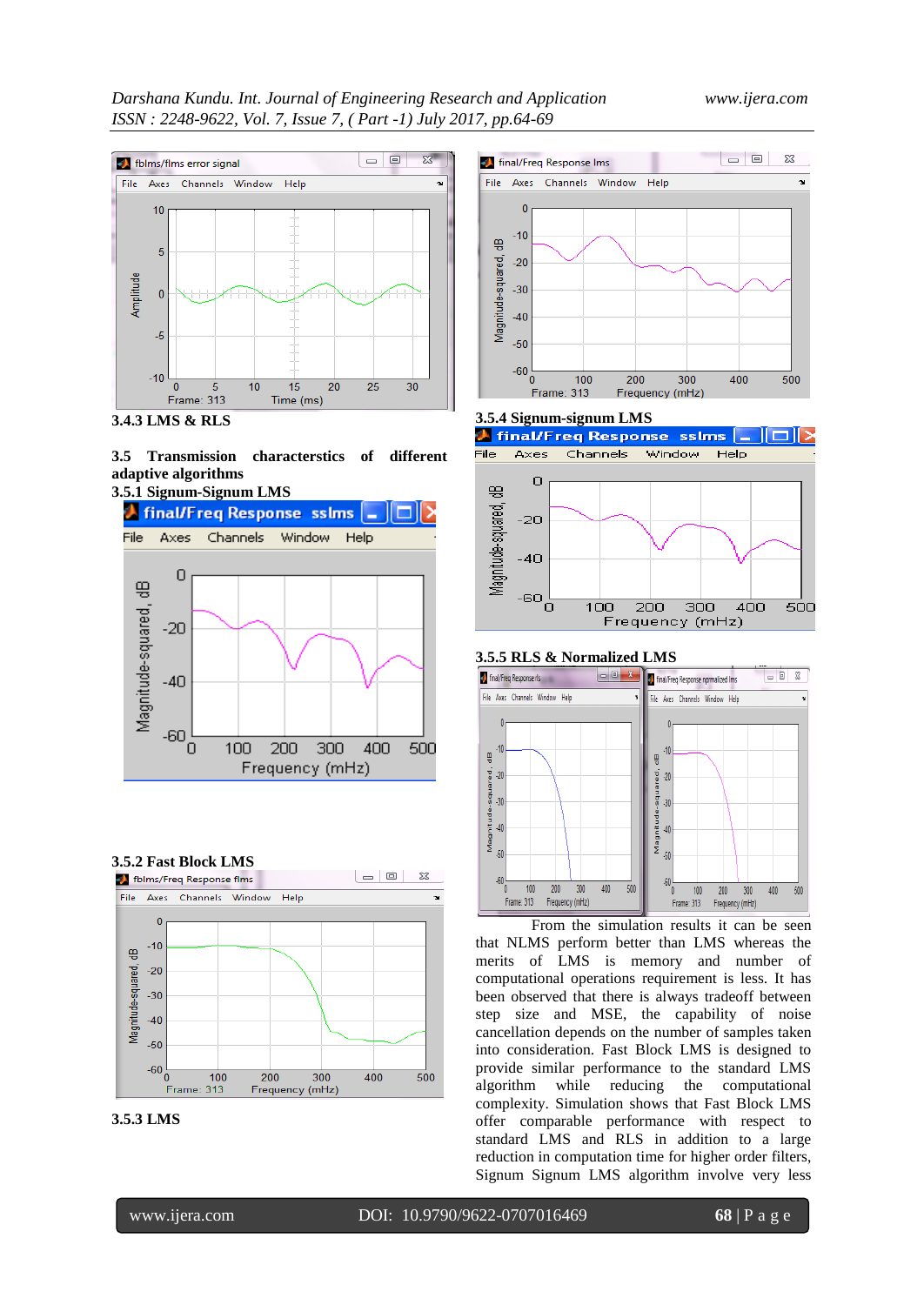



## **3.5 Transmission characterstics of different adaptive algorithms**













Frequency (mHz)

### **3.5.5 RLS & Normalized LMS**



From the simulation results it can be seen that NLMS perform better than LMS whereas the merits of LMS is memory and number of computational operations requirement is less. It has been observed that there is always tradeoff between step size and MSE, the capability of noise cancellation depends on the number of samples taken into consideration. Fast Block LMS is designed to provide similar performance to the standard LMS algorithm while reducing the computational complexity. Simulation shows that Fast Block LMS offer comparable performance with respect to standard LMS and RLS in addition to a large reduction in computation time for higher order filters, Signum Signum LMS algorithm involve very less